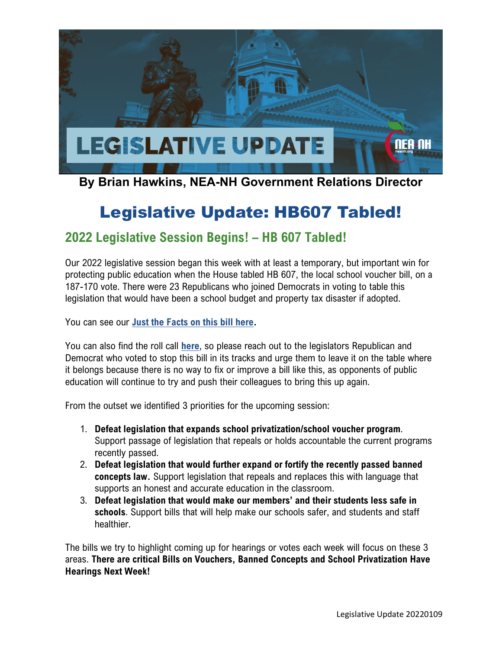

### **By Brian Hawkins, NEA-NH Government Relations Director**

# Legislative Update: HB607 Tabled!

### **2022 Legislative Session Begins! – HB 607 Tabled!**

Our 2022 legislative session began this week with at least a temporary, but important win for protecting public education when the House tabled HB 607, the local school voucher bill, on a 187-170 vote. There were 23 Republicans who joined Democrats in voting to table this legislation that would have been a school budget and property tax disaster if adopted.

You can see our **[Just the Facts on this bill here.](https://neanh.org/wp-content/uploads/2021/12/JTF_HB607a.pdf)**

You can also find the roll call **[here](http://www.gencourt.state.nh.us/bill_status/billinfo.aspx?id=6&inflect=2)**, so please reach out to the legislators Republican and Democrat who voted to stop this bill in its tracks and urge them to leave it on the table where it belongs because there is no way to fix or improve a bill like this, as opponents of public education will continue to try and push their colleagues to bring this up again.

From the outset we identified 3 priorities for the upcoming session:

- 1. **Defeat legislation that expands school privatization/school voucher program**. Support passage of legislation that repeals or holds accountable the current programs recently passed.
- 2. **Defeat legislation that would further expand or fortify the recently passed banned concepts law.** Support legislation that repeals and replaces this with language that supports an honest and accurate education in the classroom.
- 3. **Defeat legislation that would make our members' and their students less safe in schools**. Support bills that will help make our schools safer, and students and staff healthier.

The bills we try to highlight coming up for hearings or votes each week will focus on these 3 areas. **There are critical Bills on Vouchers, Banned Concepts and School Privatization Have Hearings Next Week!**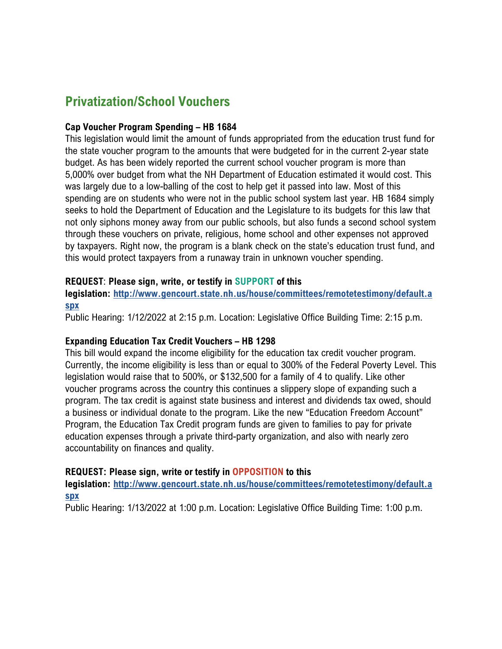## **Privatization/School Vouchers**

### **Cap Voucher Program Spending – HB 1684**

This legislation would limit the amount of funds appropriated from the education trust fund for the state voucher program to the amounts that were budgeted for in the current 2-year state budget. As has been widely reported the current school voucher program is more than 5,000% over budget from what the NH Department of Education estimated it would cost. This was largely due to a low-balling of the cost to help get it passed into law. Most of this spending are on students who were not in the public school system last year. HB 1684 simply seeks to hold the Department of Education and the Legislature to its budgets for this law that not only siphons money away from our public schools, but also funds a second school system through these vouchers on private, religious, home school and other expenses not approved by taxpayers. Right now, the program is a blank check on the state's education trust fund, and this would protect taxpayers from a runaway train in unknown voucher spending.

### **REQUEST**: **Please sign, write, or testify in SUPPORT of this**

**legislation: [http://www.gencourt.state.nh.us/house/committees/remotetestimony/default.a](http://www.gencourt.state.nh.us/house/committees/remotetestimony/default.aspx) [spx](http://www.gencourt.state.nh.us/house/committees/remotetestimony/default.aspx)**

Public Hearing: 1/12/2022 at 2:15 p.m. Location: Legislative Office Building Time: 2:15 p.m.

### **Expanding Education Tax Credit Vouchers – HB 1298**

This bill would expand the income eligibility for the education tax credit voucher program. Currently, the income eligibility is less than or equal to 300% of the Federal Poverty Level. This legislation would raise that to 500%, or \$132,500 for a family of 4 to qualify. Like other voucher programs across the country this continues a slippery slope of expanding such a program. The tax credit is against state business and interest and dividends tax owed, should a business or individual donate to the program. Like the new "Education Freedom Account" Program, the Education Tax Credit program funds are given to families to pay for private education expenses through a private third-party organization, and also with nearly zero accountability on finances and quality.

### **REQUEST: Please sign, write or testify in OPPOSITION to this**

**legislation: [http://www.gencourt.state.nh.us/house/committees/remotetestimony/default.a](http://www.gencourt.state.nh.us/house/committees/remotetestimony/default.aspx) [spx](http://www.gencourt.state.nh.us/house/committees/remotetestimony/default.aspx)**

Public Hearing: 1/13/2022 at 1:00 p.m. Location: Legislative Office Building Time: 1:00 p.m.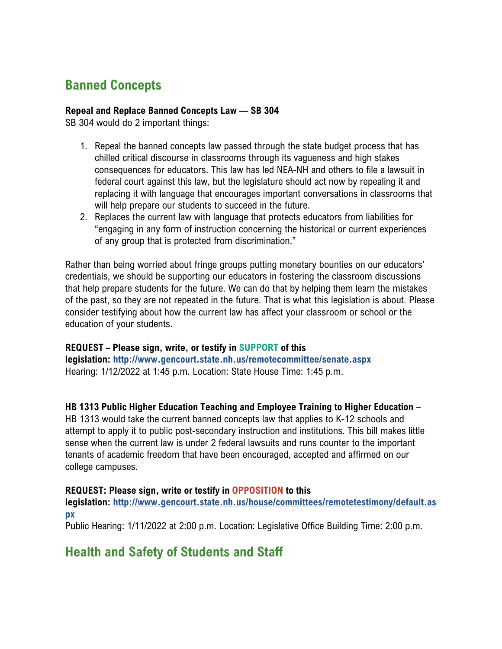# **Banned Concepts**

#### **Repeal and Replace Banned Concepts Law –– SB 304**

SB 304 would do 2 important things:

- 1. Repeal the banned concepts law passed through the state budget process that has chilled critical discourse in classrooms through its vagueness and high stakes consequences for educators. This law has led NEA-NH and others to file a lawsuit in federal court against this law, but the legislature should act now by repealing it and replacing it with language that encourages important conversations in classrooms that will help prepare our students to succeed in the future.
- 2. Replaces the current law with language that protects educators from liabilities for "engaging in any form of instruction concerning the historical or current experiences of any group that is protected from discrimination."

Rather than being worried about fringe groups putting monetary bounties on our educators' credentials, we should be supporting our educators in fostering the classroom discussions that help prepare students for the future. We can do that by helping them learn the mistakes of the past, so they are not repeated in the future. That is what this legislation is about. Please consider testifying about how the current law has affect your classroom or school or the education of your students.

### **REQUEST – Please sign, write, or testify in SUPPORT of this**

**legislation: <http://www.gencourt.state.nh.us/remotecommittee/senate.aspx>** Hearing: 1/12/2022 at 1:45 p.m. Location: State House Time: 1:45 p.m.

**HB 1313 Public Higher Education Teaching and Employee Training to Higher Education** –

HB 1313 would take the current banned concepts law that applies to K-12 schools and attempt to apply it to public post-secondary instruction and institutions. This bill makes little sense when the current law is under 2 federal lawsuits and runs counter to the important tenants of academic freedom that have been encouraged, accepted and affirmed on our college campuses.

### **REQUEST: Please sign, write or testify in OPPOSITION to this**

**legislation: [http://www.gencourt.state.nh.us/house/committees/remotetestimony/default.as](http://www.gencourt.state.nh.us/house/committees/remotetestimony/default.aspx) [px](http://www.gencourt.state.nh.us/house/committees/remotetestimony/default.aspx)**

Public Hearing: 1/11/2022 at 2:00 p.m. Location: Legislative Office Building Time: 2:00 p.m.

### **Health and Safety of Students and Staff**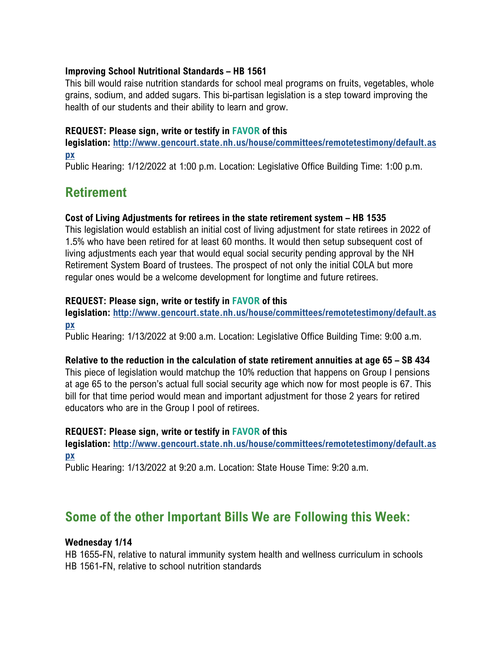### **Improving School Nutritional Standards – HB 1561**

This bill would raise nutrition standards for school meal programs on fruits, vegetables, whole grains, sodium, and added sugars. This bi-partisan legislation is a step toward improving the health of our students and their ability to learn and grow.

### **REQUEST: Please sign, write or testify in FAVOR of this**

**legislation: [http://www.gencourt.state.nh.us/house/committees/remotetestimony/default.as](http://www.gencourt.state.nh.us/house/committees/remotetestimony/default.aspx) [px](http://www.gencourt.state.nh.us/house/committees/remotetestimony/default.aspx)**

Public Hearing: 1/12/2022 at 1:00 p.m. Location: Legislative Office Building Time: 1:00 p.m.

### **Retirement**

### **Cost of Living Adjustments for retirees in the state retirement system – HB 1535**

This legislation would establish an initial cost of living adjustment for state retirees in 2022 of 1.5% who have been retired for at least 60 months. It would then setup subsequent cost of living adjustments each year that would equal social security pending approval by the NH Retirement System Board of trustees. The prospect of not only the initial COLA but more regular ones would be a welcome development for longtime and future retirees.

### **REQUEST: Please sign, write or testify in FAVOR of this**

**legislation: [http://www.gencourt.state.nh.us/house/committees/remotetestimony/default.as](http://www.gencourt.state.nh.us/house/committees/remotetestimony/default.aspx) [px](http://www.gencourt.state.nh.us/house/committees/remotetestimony/default.aspx)**

Public Hearing: 1/13/2022 at 9:00 a.m. Location: Legislative Office Building Time: 9:00 a.m.

### **Relative to the reduction in the calculation of state retirement annuities at age 65 – SB 434**

This piece of legislation would matchup the 10% reduction that happens on Group I pensions at age 65 to the person's actual full social security age which now for most people is 67. This bill for that time period would mean and important adjustment for those 2 years for retired educators who are in the Group I pool of retirees.

### **REQUEST: Please sign, write or testify in FAVOR of this**

**legislation: [http://www.gencourt.state.nh.us/house/committees/remotetestimony/default.as](http://www.gencourt.state.nh.us/house/committees/remotetestimony/default.aspx) [px](http://www.gencourt.state.nh.us/house/committees/remotetestimony/default.aspx)**

Public Hearing: 1/13/2022 at 9:20 a.m. Location: State House Time: 9:20 a.m.

### **Some of the other Important Bills We are Following this Week:**

### **Wednesday 1/14**

HB 1655-FN, relative to natural immunity system health and wellness curriculum in schools HB 1561-FN, relative to school nutrition standards